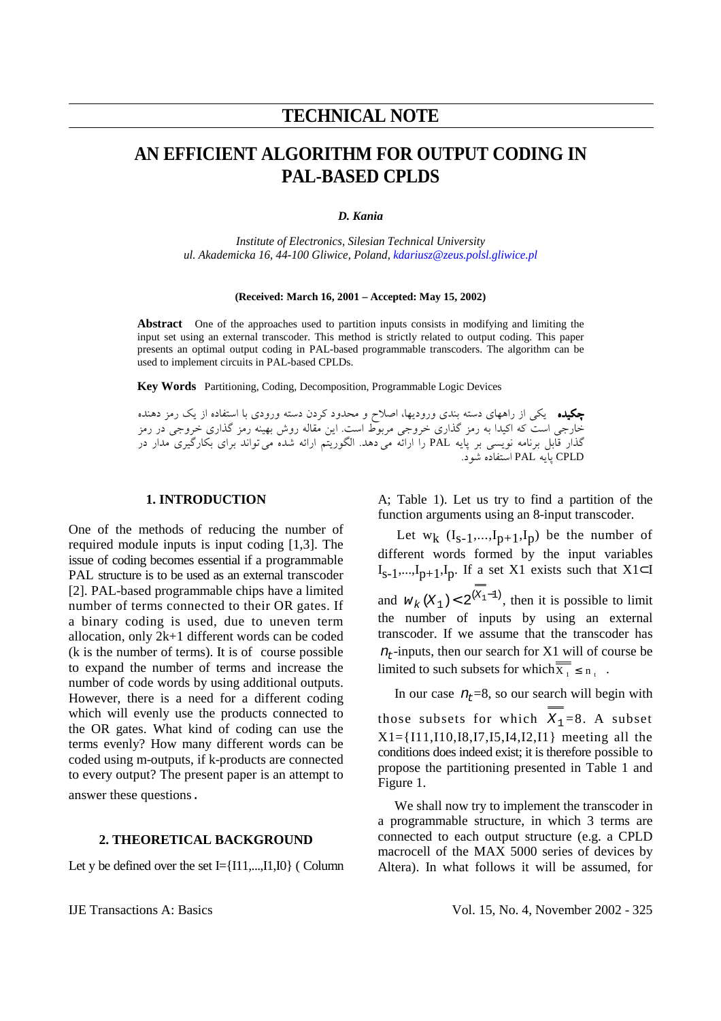# **TECHNICAL NOTE**

# **AN EFFICIENT ALGORITHM FOR OUTPUT CODING IN PAL-BASED CPLDS**

### *D. Kania*

*Institute of Electronics, Silesian Technical University ul. Akademicka 16, 44-100 Gliwice, Poland, kdariusz@zeus.polsl.gliwice.pl*

#### **(Received: March 16, 2001 – Accepted: May 15, 2002)**

**Abstract** One of the approaches used to partition inputs consists in modifying and limiting the input set using an external transcoder. This method is strictly related to output coding. This paper presents an optimal output coding in PAL-based programmable transcoders. The algorithm can be used to implement circuits in PAL-based CPLDs.

**Key Words** Partitioning, Coding, Decomposition, Programmable Logic Devices

چكيده يكي از راههاي دسته بندي وروديها، اصلاح و محدود كردن دسته ورودي با استفاده از يك رمز دهنده خارجي است كه اكيدا به رمز گذاري خروجي مربوط است. اين مقاله روش بهينه رمز گذاري خروجي در رمز گذار قابل برنامه نويسى بر پايه PAL را ارائه مى دهد. الگوريتم ارائه شده مى تواند براى بكارگيرى مدار در CPLD پايه PAL استفاده شود.

# **1. INTRODUCTION**

One of the methods of reducing the number of required module inputs is input coding [1,3]. The issue of coding becomes essential if a programmable PAL structure is to be used as an external transcoder [2]. PAL-based programmable chips have a limited number of terms connected to their OR gates. If a binary coding is used, due to uneven term allocation, only 2k+1 different words can be coded (k is the number of terms). It is of course possible to expand the number of terms and increase the number of code words by using additional outputs. However, there is a need for a different coding which will evenly use the products connected to the OR gates. What kind of coding can use the terms evenly? How many different words can be coded using m-outputs, if k-products are connected to every output? The present paper is an attempt to answer these questions.

## **2. THEORETICAL BACKGROUND**

Let y be defined over the set I={I11,...,I1,I0} ( Column

A; Table 1). Let us try to find a partition of the function arguments using an 8-input transcoder.

Let  $w_k$   $(I_{s-1},...,I_{p+1},I_p)$  be the number of different words formed by the input variables  $I_{S-1},...,I_{p+1},I_p$ . If a set X1 exists such that X1⊂I and  $w_k$  ( $X_1$ ) < 2<sup>( $X_1$ -1)</sup>, then it is possible to limit the number of inputs by using an external transcoder. If we assume that the transcoder has  $n_t$ -inputs, then our search for X1 will of course be limited to such subsets for which  $\overline{X_1} \le n_t$ .

In our case  $n<sub>r</sub>=8$ , so our search will begin with those subsets for which  $\overline{X_1} = 8$ . A subset  $X1 = \{111, 110, 18, 17, 15, 14, 12, 11\}$  meeting all the conditions does indeed exist; it is therefore possible to propose the partitioning presented in Table 1 and Figure 1.

 We shall now try to implement the transcoder in a programmable structure, in which 3 terms are connected to each output structure (e.g. a CPLD macrocell of the MAX 5000 series of devices by Altera). In what follows it will be assumed, for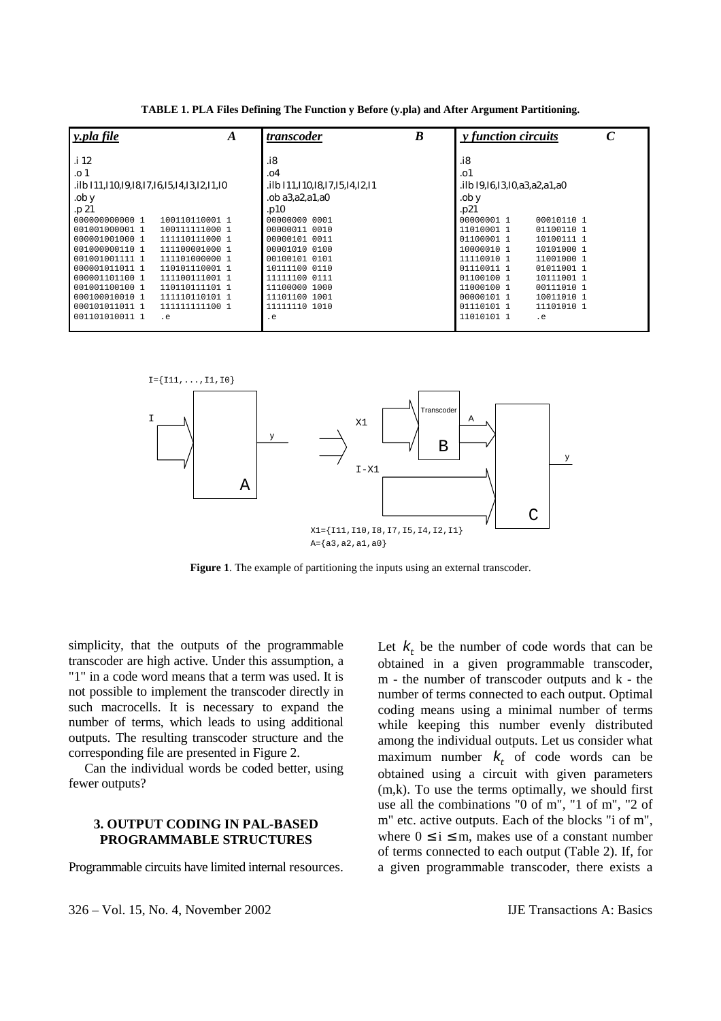| y.pla file                                            | A              | B<br>transcoder                       | <i>v</i> function circuits         |  |
|-------------------------------------------------------|----------------|---------------------------------------|------------------------------------|--|
| .i 12                                                 |                | .i8                                   | .i8                                |  |
| .o 1                                                  |                | .04                                   | .01                                |  |
| ilb I11, I10, I9, I8, I7, I6, I5, I4, I3, I2, I1, I0. |                | .ilb I11, I10, I8, I7, I5, I4, I2, I1 | ilb I9, I6, I3, I0, a3, a2, a1, a0 |  |
| .ob y                                                 |                | $.$ ob a $3$ , a $2$ , a $1$ , a $0$  | .ob y                              |  |
| .p 21                                                 |                | .p10                                  | .p21                               |  |
| 000000000000 1                                        | 100110110001 1 | 00000000 0001                         | 00000001 1<br>00010110 1           |  |
| 001001000001 1                                        | 100111111000 1 | 00000011 0010                         | 11010001 1<br>01100110 1           |  |
| 000001001000 1                                        | 111110111000 1 | 00000101 0011                         | 01100001 1<br>10100111 1           |  |
| 001000000110 1                                        | 111100001000 1 | 00001010 0100                         | 10000010 1<br>10101000 1           |  |
| 001001001111 1                                        | 111101000000 1 | 00100101 0101                         | 11110010 1<br>11001000 1           |  |
| 000001011011 1                                        | 110101110001 1 | 10111100 0110                         | 01110011 1<br>01011001 1           |  |
| 000001101100 1                                        | 111100111001 1 | 11111100 0111                         | 01100100 1<br>10111001 1           |  |
| 001001100100 1                                        | 110110111101 1 | 11100000 1000                         | 11000100 1<br>00111010 1           |  |
| 000100010010 1                                        | 111110110101 1 | 11101100 1001                         | 00000101 1<br>10011010 1           |  |
| 000101011011 1                                        | 111111111100 1 | 11111110 1010                         | 11101010 1<br>01110101 1           |  |
| 001101010011 1<br>$\cdot$ e                           |                | $\cdot$ e                             | 11010101 1<br>$\cdot$ e            |  |

**TABLE 1. PLA Files Defining The Function y Before (y.pla) and After Argument Partitioning.** 



**Figure 1**. The example of partitioning the inputs using an external transcoder.

simplicity, that the outputs of the programmable transcoder are high active. Under this assumption, a "1" in a code word means that a term was used. It is not possible to implement the transcoder directly in such macrocells. It is necessary to expand the number of terms, which leads to using additional outputs. The resulting transcoder structure and the corresponding file are presented in Figure 2.

 Can the individual words be coded better, using fewer outputs?

## **3. OUTPUT CODING IN PAL-BASED PROGRAMMABLE STRUCTURES**

Programmable circuits have limited internal resources.

Let  $k_{\tau}$  be the number of code words that can be obtained in a given programmable transcoder, m - the number of transcoder outputs and k - the number of terms connected to each output. Optimal coding means using a minimal number of terms while keeping this number evenly distributed among the individual outputs. Let us consider what maximum number  $k_t$  of code words can be obtained using a circuit with given parameters (m,k). To use the terms optimally, we should first use all the combinations "0 of m", "1 of m", "2 of m" etc. active outputs. Each of the blocks "i of m", where  $0 \le i \le m$ , makes use of a constant number of terms connected to each output (Table 2). If, for a given programmable transcoder, there exists a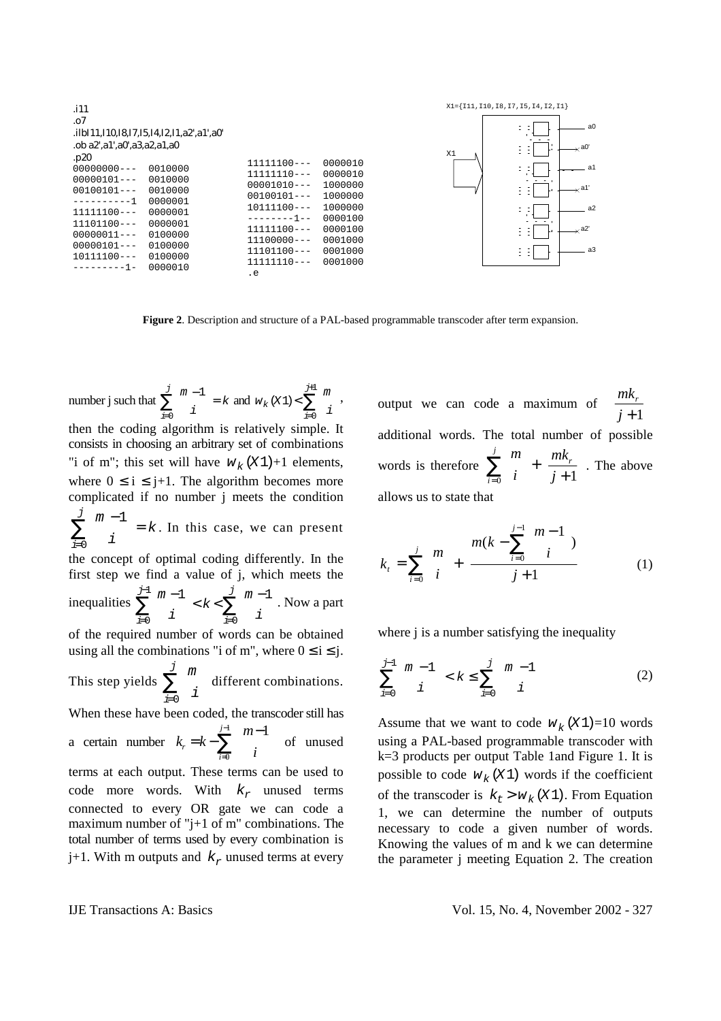| .i11<br>.07<br>.ilbI11,I10,I8,I7,I5,I4,I2,I1,a2',a1',a0'<br>.ob a2'.a1'.a0'.a3.a2.a1.a0                                                                                                                                                                                            |                                                                                                                                                                             |                                                                                                            |  |  |  |
|------------------------------------------------------------------------------------------------------------------------------------------------------------------------------------------------------------------------------------------------------------------------------------|-----------------------------------------------------------------------------------------------------------------------------------------------------------------------------|------------------------------------------------------------------------------------------------------------|--|--|--|
| .p20<br>$00000000--$<br>0010000<br>$00000101--$<br>0010000<br>0010000<br>$00100101--$<br>---------1<br>0000001<br>$11111100---$<br>0000001<br>0000001<br>$11101100---$<br>$00000011--$<br>0100000<br>0100000<br>$00000101--$<br>0100000<br>$10111100---$<br>0000010<br>---------1- | $11111100---$<br>$11111110---$<br>$00001010---$<br>$00100101--$<br>$10111100---$<br>--------1--<br>$11111100---$<br>$11100000 - -$<br>$11101100---$<br>$11111110---$<br>. е | 0000010<br>0000010<br>1000000<br>1000000<br>1000000<br>0000100<br>0000100<br>0001000<br>0001000<br>0001000 |  |  |  |



**Figure 2**. Description and structure of a PAL-based programmable transcoder after term expansion.

number j such that  $\sum_{m=1}^{m}$  $\begin{bmatrix}i\\i\end{bmatrix} = k$ i  $\frac{j}{2}$   $\left(m - \frac{1}{2}\right)$  $\binom{m-1}{i}$  $\sum_{i=0}^{j} {m-1 \choose i}$ and  $w_k(x_1) < \sum_{i=0}^{m+1} {m \choose i}$ j  $(X1)$ 0  $\langle \sum_{i=1}^{j+1}$  $\binom{m}{i}$ =  $\sum_{i=1}^{j+1}$   $\binom{m}{i}$ ,

then the coding algorithm is relatively simple. It consists in choosing an arbitrary set of combinations "i of m"; this set will have  $w_k(X_1)+1$  elements, where  $0 \le i \le j+1$ . The algorithm becomes more complicated if no number j meets the condition m i k i  $\frac{j}{2}$   $\left( m - \frac{1}{2} \right)$ l  $\binom{m-1}{1}$  $\overline{)}$  $=$ =  $\sum_{i=1}^{j}$   $\binom{m-1}{i}$ 0 . In this case, we can present the concept of optimal coding differently. In the first step we find a value of j, which meets the inequalities  $\sum_{n=1}^{\infty}$ i k m  $\sum_{i=0}^{\infty}$  i j  $\sum_{i=0}^{\infty}$  i j i  $\begin{pmatrix} m-1 \end{pmatrix}$   $\begin{pmatrix} j \end{pmatrix}$  $\binom{m-1}{i} < k < \sum_{i=0}^{J} \binom{m-1}{i}$ = − =  $\sum_{i=1}^{J-1} {m-1 \choose i} < k < \sum_{i=1}^{J} {m-1 \choose i}$ 0 1 0 . Now a part of the required number of words can be obtained using all the combinations "i of m", where  $0 \le i \le j$ . This step yields m  $\sum_{i=0}^{\infty}$   $\left( i \right)$  $\frac{j}{2}$ l  $\binom{m}{\cdot}$  $\overline{\phantom{a}}$ I = ∑ 0 different combinations. When these have been coded, the transcoder still has a certain number  $k_r = k - \sum_{r=1}^{j-1}$  $\sum_{i=0}$   $\binom{n-1}{i}$  $\overline{\phantom{a}}$  $\overline{a}$  $\mathsf{I}$ l  $=k-\sum_{1}^{\infty}\binom{m-1}{k}$ 0  $\sum_{n=1}^{j-1}$   $(m-1)$  $\sum_{i=0}^{r}$   $\left\{\begin{array}{c}i\\i\end{array}\right\}$ *m*  $k_{r} = k - \sum_{r} \begin{bmatrix} m & 1 \\ 1 & r \end{bmatrix}$  of unused terms at each output. These terms can be used to code more words. With  $k_r$  unused terms connected to every OR gate we can code a maximum number of "j+1 of m" combinations. The total number of terms used by every combination is j+1. With m outputs and  $k_r$  unused terms at every

output we can code a maximum of  $\frac{mk}{m}$ *j r* + L L  $\left|\frac{mk_r}{k+1}\right|$  $\frac{1}{1}$ additional words. The total number of possible words is therefore *m i mk*  $\sum_{i=0}$   $(i)$   $j$  $\sum_{r}^{j}$   $\binom{m}{r}$   $\binom{m}{r}$ l  $\binom{m}{\cdot}$  $\bigg)$  $|+$ + L  $\mathsf{L}% _{0}\left( \mathcal{N}\right)$  $\left|\frac{mk_r}{i+1}\right|$ J  $\sum_{i=0}^m \binom{m}{i} + \left[ \frac{m\kappa_r}{j+1} \right]$ . The above allows us to state that

$$
k_{t} = \sum_{i=0}^{j} {m \choose i} + \left[ \frac{m(k - \sum_{i=0}^{j-1} {m-1 \choose i})}{j+1} \right]
$$
(1)

where *j* is a number satisfying the inequality

$$
\sum_{i=0}^{j-1} {m-1 \choose i} < k \le \sum_{i=0}^{j} {m-1 \choose i} \tag{2}
$$

Assume that we want to code  $W_k(X_1) = 10$  words using a PAL-based programmable transcoder with k=3 products per output Table 1and Figure 1. It is possible to code  $W_k(X1)$  words if the coefficient of the transcoder is  $k_t > w_k$  (X 1). From Equation 1, we can determine the number of outputs necessary to code a given number of words. Knowing the values of m and k we can determine the parameter j meeting Equation 2. The creation

IJE Transactions A: Basics Vol. 15, No. 4, November 2002 - 327